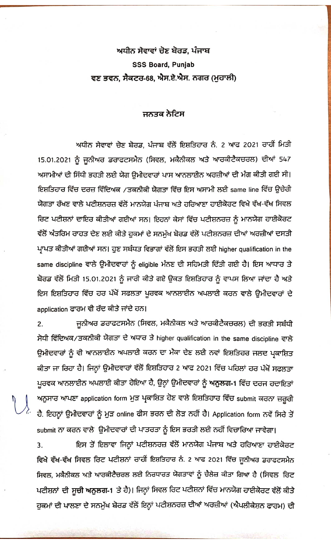## ਅਧੀਨ ਸੇਵਾਵਾਂ ਚੋਣ ਬੋਰਡ, ਪੰਜਾਬ **SSS Board, Punjab** ਵਣ ਭਵਨ, ਸੈਕਟਰ-68, ਐਸ.ਏ.ਐਸ. ਨਗਰ (ਮੁਹਾਲੀ)

## ਜਨਤਕ ਨੇਟਿਸ

ਅਧੀਨ ਸੇਵਾਵਾਂ ਚੋਣ ਬੋਰਡ, ਪੰਜਾਬ ਵੱਲੋਂ ਇਸ਼ਤਿਹਾਰ ਨੰ. 2 ਆਫ 2021 ਰਾਹੀਂ ਮਿਤੀ 15.01.2021 ਨੂੰ ਜੂਨੀਅਰ ਡਰਾਫਟਸਮੈਨ (ਸਿਵਲ, ਮਕੈਨੀਕਲ ਅਤੇ ਆਰਕੀਟੈਕਚਰਲ) ਦੀਆਂ 547 ਅਸਾਮੀਆਂ ਦੀ ਸਿੱਧੀ ਭਰਤੀ ਲਈ ਯੋਗ ਉਮੀਦਵਾਰਾਂ ਪਾਸ ਆਨਲਾਈਨ ਅਰਜ਼ੀਆਂ ਦੀ ਮੰਗ ਕੀਤੀ ਗਈ ਸੀ। ਇਸ਼ਤਿਹਾਰ ਵਿੱਚ ਦਰਜ਼ ਵਿੱਦਿਅਕ ⁄ਤਕਨੀਕੀ ਯੋਗਤਾ ਵਿੱਚ ਇਸ ਅਸਾਮੀ ਲਈ same line ਵਿੱਚ ਉਚੇਰੀ ਯੋਗਤਾ ਰੱਖਣ ਵਾਲੇ ਪਟੀਸ਼ਨਰਜ਼ ਵੱਲੋਂ ਮਾਨਯੋਗ ਪੰਜਾਬ ਅਤੇ ਹਰਿਆਣਾ ਹਾਈਕੋਰਟ ਵਿਖੇ ਵੱਖ-ਵੱਖ ਸਿਵਲ ਰਿਟ ਪਟੀਸ਼ਨਾਂ ਦਾਇਰ ਕੀਤੀਆਂ ਗਈਆਂ ਸਨ। ਇਹਨਾਂ ਕੇਸਾਂ ਵਿੱਚ ਪਟੀਸ਼ਨਰਜ਼ ਨੂੰ ਮਾਨਯੋਗ ਹਾਈਕੋਰਟ ਵੱਲੋਂ ਅੰਤਰਿਮ ਰਾਹਤ ਦੇਣ ਲਈ ਕੀਤੇ ਹੁਕਮਾਂ ਦੇ ਸਨਮੁੱਖ ਬੋਰਡ ਵੱਲੋਂ ਪਟੀਸ਼ਨਰਜ਼ ਦੀਆਂ ਅਰਜ਼ੀਆਂ ਦਸਤੀ ਪ੍ਰਾਪਤ ਕੀਤੀਆਂ ਗਈਆਂ ਸਨ। ਹੁਣ ਸਬੰਧਤ ਵਿਭਾਗਾਂ ਵੱਲੋਂ ਇਸ ਭਰਤੀ ਲਈ higher qualification in the same discipline ਵਾਲੇ ਉਮੀਦਵਾਰਾਂ ਨੂੰ eligible ਮੰਨਣ ਦੀ ਸਹਿਮਤੀ ਦਿੱਤੀ ਗਈ ਹੈ। ਇਸ ਆਧਾਰ ਤੇ ਬੋਰਡ ਵੱਲੋਂ ਮਿਤੀ 15.01.2021 ਨੂੰ ਜਾਰੀ ਕੀਤੇ ਗਏ ਉਕਤ ਇਸ਼ਤਿਹਾਰ ਨੂੰ ਵਾਪਸ ਲਿਆ ਜਾਂਦਾ ਹੈ ਅਤੇ ਇਸ ਇਸ਼ਤਿਹਾਰ ਵਿੱਚ ਹਰ ਪੱਖੋਂ ਸਫਲਤਾ ਪੂਰਵਕ ਆਨਲਾਈਨ ਅਪਲਾਈ ਕਰਨ ਵਾਲੇ ਉਮੀਦਵਾਰਾਂ ਦੇ application ਫਾਰਮ ਵੀ ਰੱਦ ਕੀਤੇ ਜਾਂਦੇ ਹਨ।

ਜੂਨੀਅਰ ਡਰਾਫਟਸਮੈਨ (ਸਿਵਲ, ਮਕੈਨੀਕਲ ਅਤੇ ਆਰਕੀਟੈਕਚਰਲ) ਦੀ ਭਰਤੀ ਸਬੰਧੀ 2. ਸੋਧੀ ਵਿੱਦਿਅਕ/ਤਕਨੀਕੀ ਯੋਗਤਾ ਦੇ ਅਧਾਰ ਤੇ higher qualification in the same discipline ਵਾਲੇ ਉਮੀਦਵਾਰਾਂ ਨੂੰ ਵੀ ਆਨਲਾਈਨ ਅਪਲਾਈ ਕਰਨ ਦਾ ਮੌਕਾ ਦੇਣ ਲਈ ਨਵਾਂ ਇਸ਼ਤਿਹਰ ਜਲਦ ਪ੍ਰਕਾਸ਼ਿਤ ਕੀਤਾ ਜਾ ਰਿਹਾ ਹੈ। ਜਿਨ੍ਹਾਂ ਉਮੀਦਵਾਰਾਂ ਵੱਲੋਂ ਇਸ਼ਤਿਹਾਰ 2 ਆਫ 2021 ਵਿੱਚ ਪਹਿਲਾਂ ਹਰ ਪੱਖੋਂ ਸਫਲਤਾ ਪੂਰਵਕ ਆਨਲਾਈਨ ਅਪਲਾਈ ਕੀਤਾ ਹੋਇਆ ਹੈ, ਉਨ੍ਹਾਂ ਉਮੀਦਵਾਰਾਂ ਨੂੰ ਅਨੁਲਗ-1 ਵਿੱਚ ਦਰਜ ਹਦਾਇਤਾਂ ਅਨੁਸਾਰ ਆਪਣਾ application form ਮੁੜ ਪ੍ਰਕਾਸ਼ਿਤ ਹੋਣ ਵਾਲੇ ਇਸ਼ਤਿਹਾਰ ਵਿੱਚ submit ਕਰਨਾ ਜ਼ਰੂਰੀ ਹੈ. ਇਹਨ੍ਹਾਂ ਉਮੀਦਵਾਰਾਂ ਨੂੰ ਮੁੜ online ਫੀਸ ਭਰਨ ਦੀ ਲੋੜ ਨਹੀਂ ਹੈ। Application form ਨਵੇਂ ਸਿਰੇ ਤੋਂ submit ਨਾ ਕਰਨ ਵਾਲੇ ਉਮੀਦਵਾਰਾਂ ਦੀ ਪਾਤਰਤਾ ਨੂੰ ਇਸ ਭਰਤੀ ਲਈ ਨਹੀਂ ਵਿਚਾਰਿਆ ਜਾਵੇਗਾ।

ਇਸ ਤੋਂ ਇਲਾਵਾ ਜਿਨ੍ਹਾਂ ਪਟੀਸ਼ਨਰਜ਼ ਵੱਲੋਂ ਮਾਨਯੋਗ ਪੰਜਾਬ ਅਤੇ ਹਰਿਆਣਾ ਹਾਈਕੋਰਟ 3. ਵਿਖੇ ਵੱਖ-ਵੱਖ ਸਿਵਲ ਰਿਟ ਪਟੀਸ਼ਨਾਂ ਰਾਹੀਂ ਇਸ਼ਤਿਹਾਰ ਨੰ. 2 ਆਫ 2021 ਵਿੱਚ ਜੂਨੀਅਰ ਡਰਾਫਟਸਮੈਨ ਸਿਵਲ, ਮਕੈਨੀਕਲ ਅਤੇ ਆਰਕੀਟੈਚਰਲ ਲਈ ਨਿਰਧਾਰਤ ਯੋਗਤਾਵਾਂ ਨੂੰ ਚੈਲੇਜ਼ ਕੀਤਾ ਗਿਆ ਹੈ (ਸਿਵਲ ਰਿਟ ਪਟੀਸ਼ਨਾਂ ਦੀ ਸੂਚੀ ਅਨੁਲਗ-1 ਤੇ ਹੈ)। ਜਿਨ੍ਹਾਂ ਸਿਵਲ ਰਿਟ ਪਟੀਸ਼ਨਾਂ ਵਿੱਚ ਮਾਨਯੋਗ ਹਾਈਕੋਰਟ ਵੱਲੋਂ ਕੀਤੇ ਹੁਕਮਾਂ ਦੀ ਪਾਲਣਾ ਦੇ ਸਨਮੁੱਖ ਬੋਰਡ ਵੱਲੋਂ ਇਨ੍ਹਾਂ ਪਟੀਸ਼ਨਰਜ਼ ਦੀਆਂ ਅਰਜ਼ੀਆਂ (ਐਪਲੀਕੇਸ਼ਨ ਫਾਰਮ) ਦੀ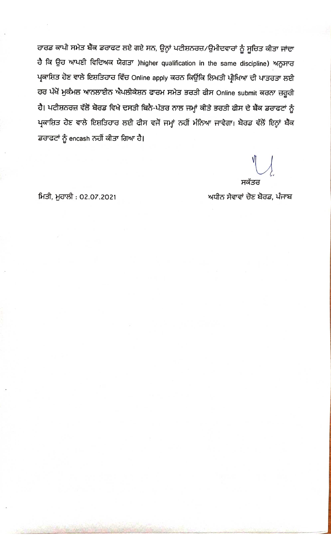ਹਾਰਡ ਕਾਪੀ ਸਮੇਤ ਬੈਂਕ ਡਰਾਫਟ ਲਏ ਗਏ ਸਨ, ਉਨ੍ਹਾਂ ਪਟੀਸ਼ਨਰਜ਼/ਉਮੀਦਵਾਰਾਂ ਨੂੰ ਸੂਚਿਤ ਕੀਤਾ ਜਾਂਦਾ ਹੈ ਕਿ ਉਹ ਆਪਣੀ ਵਿਦਿਅਕ ਯੋਗਤਾ )higher qualification in the same discipline) ਅਨੁਸਾਰ ਪ੍ਰਕਾਸ਼ਿਤ ਹੋਣ ਵਾਲੇ ਇਸ਼ਤਿਹਾਰ ਵਿੱਚ Online apply ਕਰਨ ਕਿਉਂਕਿ ਲਿਖਤੀ ਪ੍ਰੀਖਿਆ ਦੀ ਪਾਤਰਤਾ ਲਈ ਹਰ ਪੱਖੋਂ ਮੁਕੰਮਲ ਆਨਲਾਈਨ ਐਪਲੀਕੇਸ਼ਨ ਫਾਰਮ ਸਮੇਤ ਭਰਤੀ ਫੀਸ Online submit ਕਰਨਾ ਜ਼ਰੂਰੀ ਹੈ। ਪਟੀਸ਼ਨਰਜ਼ ਵੱਲੋਂ ਬੋਰਡ ਵਿਖੇ ਦਸਤੀ ਬਿਨੈ-ਪੱਤਰ ਨਾਲ ਜਮ੍ਹਾਂ ਕੀਤੇ ਭਰਤੀ ਫੀਸ ਦੇ ਬੈਂਕ ਡਰਾਫਟਾਂ ਨੂੰ ਪ੍ਰਕਾਸ਼ਿਤ ਹੋਣ ਵਾਲੇ ਇਸ਼ਤਿਹਾਰ ਲਈ ਫੀਸ ਵਜੋਂ ਜਮ੍ਹਾਂ ਨਹੀਂ ਮੰਨਿਆ ਜਾਵੇਗਾ। ਬੋਰਡ ਵੱਲੋਂ ਇਨ੍ਹਾਂ ਬੈਂਕ ਡਰਾਫਟਾਂ ਨੂੰ encash ਨਹੀਂ ਕੀਤਾ ਗਿਆ ਹੈ।

ਸਕੱਤਰ

ਅਧੀਨ ਸੇਵਾਵਾਂ ਚੋਣ ਬੋਰਡ, ਪੰਜਾਬ

ਮਿਤੀ, ਮੁਹਾਲੀ : 02.07.2021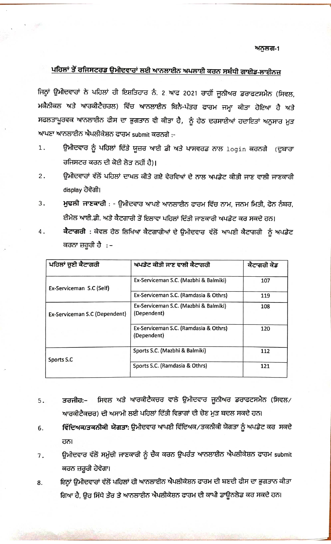## ਅਨੁਲਗ-1

## ਪਹਿਲਾਂ ਤੋਂ ਰਜਿਸਟਰਡ ਉਮੀਦਵਾਰਾਂ ਲਈ ਆਨਲਾਈਨ ਅਪਲਾਈ ਕਰਨ ਸਬੰਧੀ ਗਾਈਡ-ਲਾਈਨਜ਼

ਜਿਨ੍ਹਾਂ ਉਮੀਦਵਾਰਾਂ ਨੇ ਪਹਿਲਾਂ ਹੀ ਇਸ਼ਤਿਹਾਰ ਨੰ. 2 ਆਫ 2021 ਰਾਹੀਂ ਜੂਨੀਅਰ ਡਰਾਫਟਸਮੈਨ (ਸਿਵਲ, ਮਕੈਨੀਕਲ ਅਤੇ ਆਰਕੀਟੈਚਰਲ) ਵਿੱਚ ਆਨਲਾਈਨ ਬਿਨੈ-ਪੱਤਰ ਫਾਰਮ ਜਮ੍ਹਾ ਕੀਤਾ ਹੋਇਆ ਹੈ ਅਤੇ ਸਫਲਤਾਪੂਰਵਕ ਆਨਲਾਈਨ ਫੀਸ ਦਾ ਭੁਗਤਾਨ ਵੀ ਕੀਤਾ ਹੈ, ਨੂੰ ਹੇਠ ਦਰਸਾਈਆਂ ਹਦਾਇਤਾਂ ਅਨੁਸਾਰ ਮੁੜ ਆਪਣਾ ਆਨਲਾਈਨ ਐਪਲੀਕੇਸ਼ਨ ਫਾਰਮ submit ਕਰਨਗੇ :-

- ਉਮੀਦਵਾਰ ਨੂੰ ਪਹਿਲਾਂ ਦਿੱਤੇ ਯੂਜ਼ਰ ਆਈ ਡੀ ਅਤੇ ਪਾਸਵਰਡ ਨਾਲ  $\log_{10}$  ਕਰਨਗੇ (ਦੁਬਾਰਾ 1. ਰਜਿਸਟਰ ਕਰਨ ਦੀ ਕੋਈ ਲੋਤ ਨਹੀਂ ਹੈ)।
- ਉਮੀਦਵਾਰਾਂ ਵੱਲੋਂ ਪਹਿਲਾਂ ਦਾਖਲ ਕੀਤੇ ਗਏ ਵੇਰਵਿਆਂ ਦੇ ਨਾਲ ਅਪਡੇਟ ਕੀਤੀ ਜਾਣ ਵਾਲੀ ਜਾਣਕਾਰੀ 2. display ਹੋਵੇਗੀ।
- ਮੁਢਲੀ ਜਾਣਕਾਰੀ : ਉਮੀਦਵਾਰ ਆਪਣੇ ਆਨਲਾਈਨ ਫਾਰਮ ਵਿੱਚ ਨਾਮ, ਜਨਮ ਮਿਤੀ, ਫੋਨ ਨੰਬਰ, З. ਈਮੇਲ ਆਈ.ਡੀ. ਅਤੇ ਕੈਟਗਾਰੀ ਤੋਂ ਇਲਾਵਾ ਪਹਿਲਾਂ ਦਿੱਤੀ ਜਾਣਕਾਰੀ ਅਪਡੇਟ ਕਰ ਸਕਦੇ ਹਨ।
- ਕੈਟਾਗਰੀ : ਕੇਵਲ ਹੇਠ ਲਿਖਿਆ ਕੈਟਗਾਰੀਆਂ ਦੇ ਉਮੀਦਵਾਰ ਵੱਲੋਂ ਆਪਣੀ ਕੈਟਾਗਰੀ ਨੂੰ ਅਪਡੇਟ 4. ਕਰਨਾ ਜ਼ਰੂਰੀ ਹੈ : –

| ਪਹਿਲਾਂ ਚੁਣੀ ਕੈਟਾਗਰੀ           | ਅਪਡੇਟ ਕੀਤੀ ਜਾਣ ਵਾਲੀ ਕੈਟਾਗਰੀ                          | ਕੈਟਾਗਰੀ ਕੋਡ |
|-------------------------------|------------------------------------------------------|-------------|
| Ex-Serviceman S.C (Self)      | Ex-Serviceman S.C. (Mazbhi & Balmiki)                | 107         |
|                               | Ex-Serviceman S.C. (Ramdasia & Othrs)                | 119         |
| Ex-Serviceman S.C (Dependent) | Ex-Serviceman S.C. (Mazbhi & Balmiki)<br>(Dependent) | 108         |
|                               | Ex-Serviceman S.C. (Ramdasia & Othrs)<br>(Dependent) | 120         |
| Sports S.C                    | Sports S.C. (Mazbhi & Balmiki)                       | 112         |
|                               | Sports S.C. (Ramdasia & Othrs)                       | 121         |

- ਸਿਵਲ ਅਤੇ ਆਰਕੀਟੈਕਚਰ ਵਾਲੇ ਉਮੀਦਵਾਰ ਜੁਨੀਅਰ ਡਰਾਫਟਸਮੈਨ (ਸਿਵਲ/ ਤਰਜੀਹ:– 5. ਆਰਕੀਟੈਕਚਰ) ਦੀ ਅਸਾਮੀ ਲਈ ਪਹਿਲਾਂ ਦਿੱਤੀ ਵਿਭਾਗਾਂ ਦੀ ਚੋਣ ਮੁੜ ਬਦਲ ਸਕਦੇ ਹਨ।
- ਵਿੱਦਿਅਕ/ਤਕਨੀਕੀ ਯੋਗਤਾ: ਉਮੀਦਵਾਰ ਆਪਣੀ ਵਿੱਦਿਅਕ/ਤਕਨੀਕੀ ਯੋਗਤਾ ਨੂੰ ਅਪਡੇਟ ਕਰ ਸਕਦੇ 6. ਹਨ।
- ਉਮੀਦਵਾਰ ਵੱਲੋਂ ਸਮੁੱਚੀ ਜਾਣਕਾਰੀ ਨੂੰ ਚੈਂਕ ਕਰਨ ਉਪਰੰਤ ਆਨਲਾਈਨ ਐਪਲੀਕੇਸ਼ਨ ਫਾਰਮ submit 7. ਕਰਨ ਜ਼ਰੂਰੀ ਹੋਵੇਗਾ।
- ਇਨ੍ਹਾਂ ਉਮੀਦਵਾਰਾਂ ਵੱਲੋਂ ਪਹਿਲਾਂ ਹੀ ਆਨਲਾਈਨ ਐਪਲੀਕੇਸ਼ਨ ਫਾਰਮ ਦੀ ਬਣਦੀ ਫੀਸ ਦਾ ਭੁਗਤਾਨ ਕੀਤਾ 8. ਗਿਆ ਹੈ, ਉਹ ਸਿੱਧੇ ਤੌਰ ਤੇ ਆਨਲਾਈਨ ਐਪਲੀਕੇਸ਼ਨ ਫਾਰਮ ਦੀ ਕਾਪੀ ਡਾਊਨਲੋਡ ਕਰ ਸਕਦੇ ਹਨ।